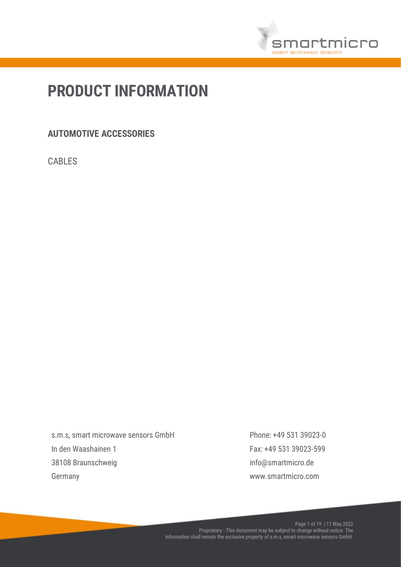

# PRODUCT INFORMATION

## AUTOMOTIVE ACCESSORIES

CABLES

s.m.s, smart microwave sensors GmbH In den Waashainen 1 38108 Braunschweig Germany

Phone: +49 531 39023-0 Fax: +49 531 39023-599 info@smartmicro.de www.smartmicro.com

Page 1 of 19 | 11 May 2022 Proprietary - This document may be subject to change without notice. The information shall remain the exclusive property of s.m.s, smart microwave sensors GmbH.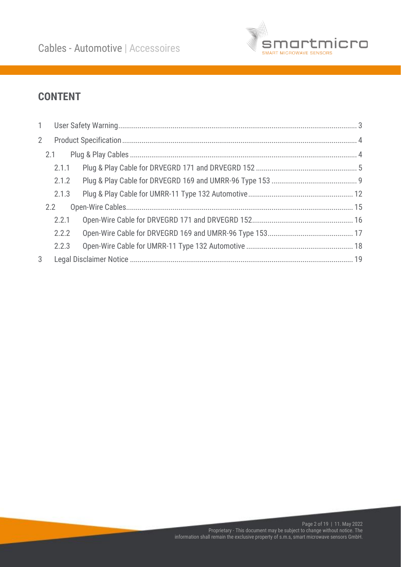

## **CONTENT**

| $\mathbf{1}$ |       |  |  |  |  |  |  |  |
|--------------|-------|--|--|--|--|--|--|--|
| $2^{\circ}$  |       |  |  |  |  |  |  |  |
|              | 2.1   |  |  |  |  |  |  |  |
|              | 2.1.1 |  |  |  |  |  |  |  |
|              | 2.1.2 |  |  |  |  |  |  |  |
|              | 2.1.3 |  |  |  |  |  |  |  |
|              | 2.2   |  |  |  |  |  |  |  |
|              | 2.2.1 |  |  |  |  |  |  |  |
|              | 2.2.2 |  |  |  |  |  |  |  |
|              | 2.2.3 |  |  |  |  |  |  |  |
| 3            |       |  |  |  |  |  |  |  |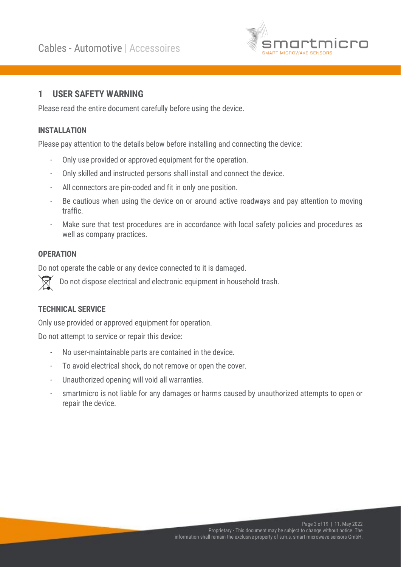

## <span id="page-2-0"></span>1 USER SAFETY WARNING

Please read the entire document carefully before using the device.

## INSTALLATION

Please pay attention to the details below before installing and connecting the device:

- Only use provided or approved equipment for the operation.
- Only skilled and instructed persons shall install and connect the device.
- All connectors are pin-coded and fit in only one position.
- Be cautious when using the device on or around active roadways and pay attention to moving traffic.
- Make sure that test procedures are in accordance with local safety policies and procedures as well as company practices.

#### **OPERATION**

Do not operate the cable or any device connected to it is damaged.

Do not dispose electrical and electronic equipment in household trash.

#### TECHNICAL SERVICE

Only use provided or approved equipment for operation.

Do not attempt to service or repair this device:

- No user-maintainable parts are contained in the device.
- To avoid electrical shock, do not remove or open the cover.
- Unauthorized opening will void all warranties.
- smartmicro is not liable for any damages or harms caused by unauthorized attempts to open or repair the device.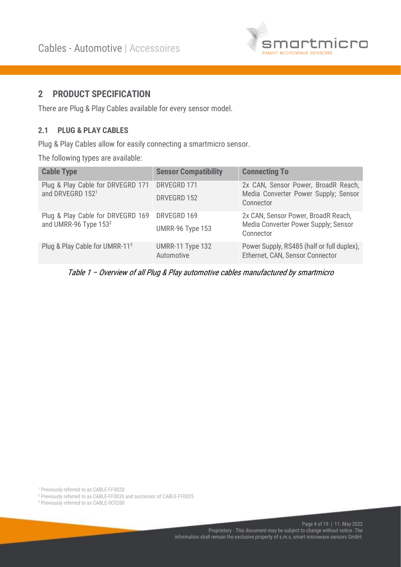

## <span id="page-3-0"></span>2 PRODUCT SPECIFICATION

There are Plug & Play Cables available for every sensor model.

#### <span id="page-3-1"></span>2.1 PLUG & PLAY CABLES

Plug & Play Cables allow for easily connecting a smartmicro sensor.

The following types are available:

| <b>Cable Type</b>                                                                  | <b>Sensor Compatibility</b>    | <b>Connecting To</b>                                                                     |
|------------------------------------------------------------------------------------|--------------------------------|------------------------------------------------------------------------------------------|
| Plug & Play Cable for DRVEGRD 171<br>and DRVEGRD 1521                              | DRVEGRD 171<br>DRVEGRD 152     | 2x CAN, Sensor Power, BroadR Reach,<br>Media Converter Power Supply; Sensor<br>Connector |
| Plug & Play Cable for DRVEGRD 169 DRVEGRD 169<br>and UMRR-96 Type 153 <sup>2</sup> | UMRR-96 Type 153               | 2x CAN, Sensor Power, BroadR Reach,<br>Media Converter Power Supply; Sensor<br>Connector |
| Plug & Play Cable for UMRR-113                                                     | UMRR-11 Type 132<br>Automotive | Power Supply, RS485 (half or full duplex),<br>Ethernet, CAN, Sensor Connector            |

Table 1 – Overview of all Plug & Play automotive cables manufactured by smartmicro

<sup>1</sup> Previously referred to as CABLE-FF002D

<sup>2</sup> Previously referred to as CABLE-FF0035 and successor of CABLE-FF0025

<sup>3</sup> Previously referred to as CABLE-0C0200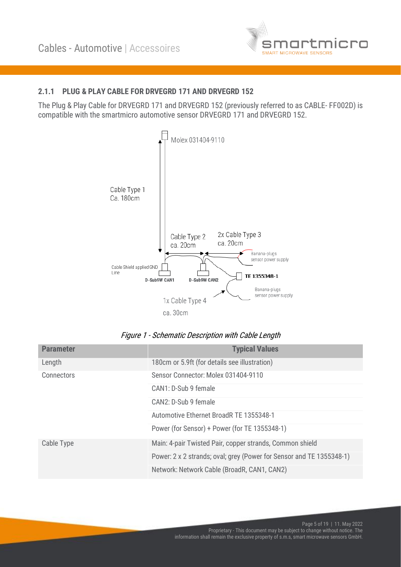

### <span id="page-4-0"></span>2.1.1 PLUG & PLAY CABLE FOR DRVEGRD 171 AND DRVEGRD 152

The Plug & Play Cable for DRVEGRD 171 and DRVEGRD 152 (previously referred to as CABLE- FF002D) is compatible with the smartmicro automotive sensor DRVEGRD 171 and DRVEGRD 152.



#### Figure 1 - Schematic Description with Cable Length

| <b>Parameter</b>  | <b>Typical Values</b>                                                |  |  |  |  |
|-------------------|----------------------------------------------------------------------|--|--|--|--|
| Length            | 180cm or 5.9ft (for details see illustration)                        |  |  |  |  |
| <b>Connectors</b> | Sensor Connector: Molex 031404-9110                                  |  |  |  |  |
|                   | CAN1: D-Sub 9 female                                                 |  |  |  |  |
|                   | CAN2: D-Sub 9 female                                                 |  |  |  |  |
|                   | Automotive Ethernet BroadR TE 1355348-1                              |  |  |  |  |
|                   | Power (for Sensor) + Power (for TE 1355348-1)                        |  |  |  |  |
| Cable Type        | Main: 4-pair Twisted Pair, copper strands, Common shield             |  |  |  |  |
|                   | Power: 2 x 2 strands; oval; grey (Power for Sensor and TE 1355348-1) |  |  |  |  |
|                   | Network: Network Cable (BroadR, CAN1, CAN2)                          |  |  |  |  |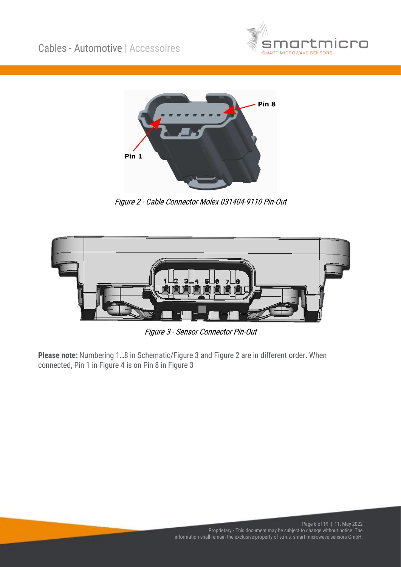



Figure 2 - Cable Connector Molex 031404-9110 Pin-Out



Figure 3 - Sensor Connector Pin-Out

Please note: Numbering 1…8 in Schematic/Figure 3 and Figure 2 are in different order. When connected, Pin 1 in Figure 4 is on Pin 8 in Figure 3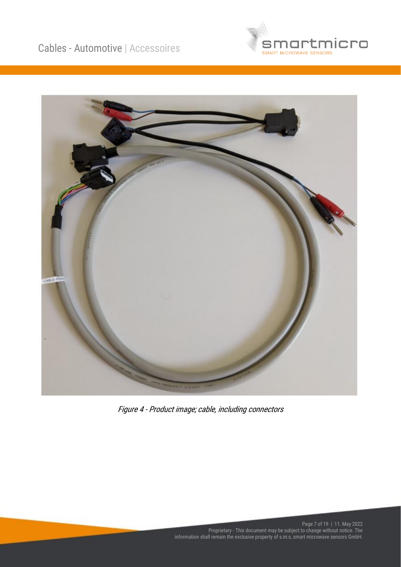



Figure 4 - Product image; cable, including connectors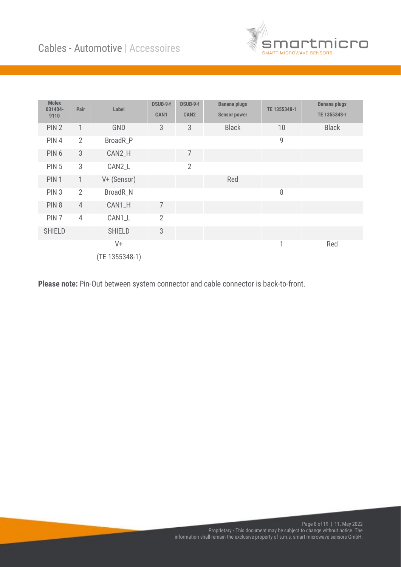

| <b>Molex</b><br>031404-<br>9110 | Pair           | Label          | <b>DSUB-9-f</b><br>CAN1 | DSUB-9-f<br>CAN <sub>2</sub> | <b>Banana plugs</b><br><b>Sensor power</b> | TE 1355348-1 | <b>Banana plugs</b><br>TE 1355348-1 |
|---------------------------------|----------------|----------------|-------------------------|------------------------------|--------------------------------------------|--------------|-------------------------------------|
| PIN <sub>2</sub>                | 1              | GND            | 3                       | 3                            | <b>Black</b>                               | 10           | <b>Black</b>                        |
| PIN 4                           | $\overline{2}$ | BroadR_P       |                         |                              |                                            | 9            |                                     |
| PIN <sub>6</sub>                | 3              | CAN2_H         |                         | $\overline{7}$               |                                            |              |                                     |
| <b>PIN 5</b>                    | 3              | CAN2_L         |                         | $\overline{2}$               |                                            |              |                                     |
| PIN <sub>1</sub>                | $\mathbf{1}$   | V+ (Sensor)    |                         |                              | Red                                        |              |                                     |
| PIN <sub>3</sub>                | $\overline{2}$ | BroadR_N       |                         |                              |                                            | 8            |                                     |
| PIN <sub>8</sub>                | $\overline{4}$ | CAN1_H         | 7                       |                              |                                            |              |                                     |
| PIN <sub>7</sub>                | $\overline{4}$ | CAN1_L         | $\overline{2}$          |                              |                                            |              |                                     |
| <b>SHIELD</b>                   |                | <b>SHIELD</b>  | 3                       |                              |                                            |              |                                     |
|                                 |                | $V +$          |                         |                              |                                            | 1            | Red                                 |
|                                 |                | (TE 1355348-1) |                         |                              |                                            |              |                                     |

Please note: Pin-Out between system connector and cable connector is back-to-front.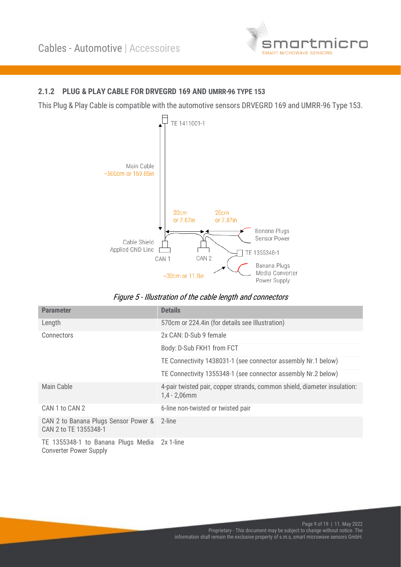

#### <span id="page-8-0"></span>2.1.2 PLUG & PLAY CABLE FOR DRVEGRD 169 AND UMRR-96 TYPE 153

This Plug & Play Cable is compatible with the automotive sensors DRVEGRD 169 and UMRR-96 Type 153.



Figure 5 - Illustration of the cable length and connectors

| <b>Parameter</b>                                                              | <b>Details</b>                                                                              |
|-------------------------------------------------------------------------------|---------------------------------------------------------------------------------------------|
| Length                                                                        | 570cm or 224.4in (for details see Illustration)                                             |
| Connectors                                                                    | 2x CAN: D-Sub 9 female                                                                      |
|                                                                               | Body: D-Sub FKH1 from FCT                                                                   |
|                                                                               | TE Connectivity 1438031-1 (see connector assembly Nr.1 below)                               |
|                                                                               | TE Connectivity 1355348-1 (see connector assembly Nr.2 below)                               |
| Main Cable                                                                    | 4-pair twisted pair, copper strands, common shield, diameter insulation:<br>$1,4 - 2,06$ mm |
| CAN 1 to CAN 2                                                                | 6-line non-twisted or twisted pair                                                          |
| CAN 2 to Banana Plugs Sensor Power & 2-line<br>CAN 2 to TE 1355348-1          |                                                                                             |
| TE 1355348-1 to Banana Plugs Media 2x 1-line<br><b>Converter Power Supply</b> |                                                                                             |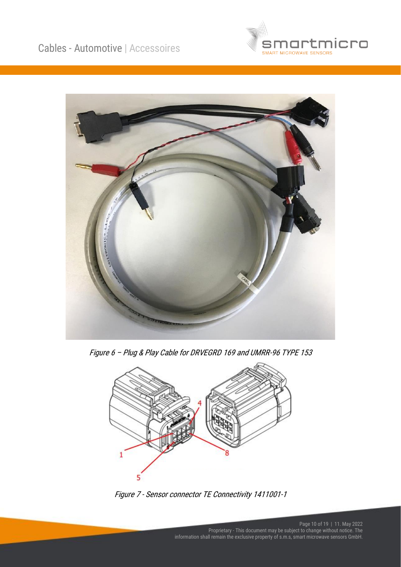



Figure 6 – Plug & Play Cable for DRVEGRD 169 and UMRR-96 TYPE 153



Figure 7 - Sensor connector TE Connectivity 1411001-1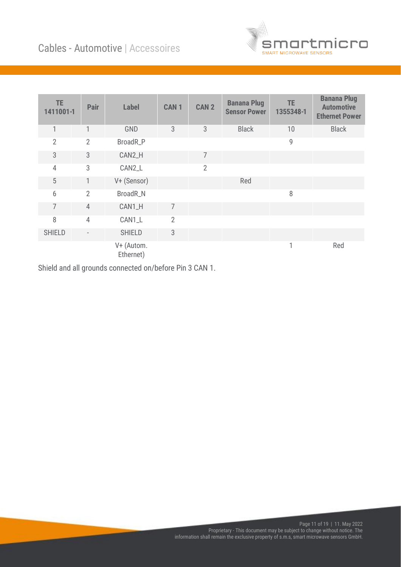

| TE.<br>1411001-1 | Pair           | <b>Label</b>            | <b>CAN1</b>    | CAN <sub>2</sub> | <b>Banana Plug</b><br><b>Sensor Power</b> | <b>TE</b><br>1355348-1 | <b>Banana Plug</b><br><b>Automotive</b><br><b>Ethernet Power</b> |
|------------------|----------------|-------------------------|----------------|------------------|-------------------------------------------|------------------------|------------------------------------------------------------------|
| $\mathbf{1}$     | 1              | GND                     | 3              | 3                | <b>Black</b>                              | 10                     | <b>Black</b>                                                     |
| $\overline{2}$   | $\overline{2}$ | BroadR_P                |                |                  |                                           | 9                      |                                                                  |
| 3                | 3              | CAN2_H                  |                | 7                |                                           |                        |                                                                  |
| $\overline{4}$   | 3              | CAN2_L                  |                | $\overline{2}$   |                                           |                        |                                                                  |
| 5                | 1              | V+ (Sensor)             |                |                  | Red                                       |                        |                                                                  |
| 6                | $\overline{2}$ | BroadR_N                |                |                  |                                           | 8                      |                                                                  |
| 7                | $\overline{4}$ | CAN1_H                  | $\overline{7}$ |                  |                                           |                        |                                                                  |
| 8                | $\overline{4}$ | CAN1_L                  | $\overline{2}$ |                  |                                           |                        |                                                                  |
| <b>SHIELD</b>    |                | <b>SHIELD</b>           | 3              |                  |                                           |                        |                                                                  |
|                  |                | V+ (Autom.<br>Ethernet) |                |                  |                                           |                        | Red                                                              |

Shield and all grounds connected on/before Pin 3 CAN 1.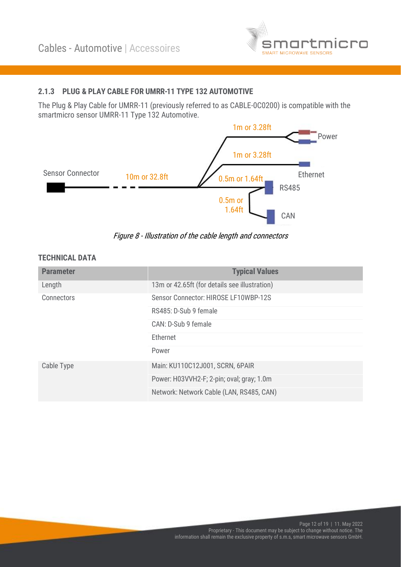

## <span id="page-11-0"></span>2.1.3 PLUG & PLAY CABLE FOR UMRR-11 TYPE 132 AUTOMOTIVE

The Plug & Play Cable for UMRR-11 (previously referred to as CABLE-0C0200) is compatible with the smartmicro sensor UMRR-11 Type 132 Automotive.



Figure 8 - Illustration of the cable length and connectors

#### TECHNICAL DATA

| <b>Parameter</b> | <b>Typical Values</b>                         |  |  |  |
|------------------|-----------------------------------------------|--|--|--|
| Length           | 13m or 42.65ft (for details see illustration) |  |  |  |
| Connectors       | Sensor Connector: HIROSE LF10WBP-12S          |  |  |  |
|                  | RS485: D-Sub 9 female                         |  |  |  |
|                  | CAN: D-Sub 9 female                           |  |  |  |
|                  | Ethernet                                      |  |  |  |
|                  | Power                                         |  |  |  |
| Cable Type       | Main: KU110C12J001, SCRN, 6PAIR               |  |  |  |
|                  | Power: H03VVH2-F; 2-pin; oval; gray; 1.0m     |  |  |  |
|                  | Network: Network Cable (LAN, RS485, CAN)      |  |  |  |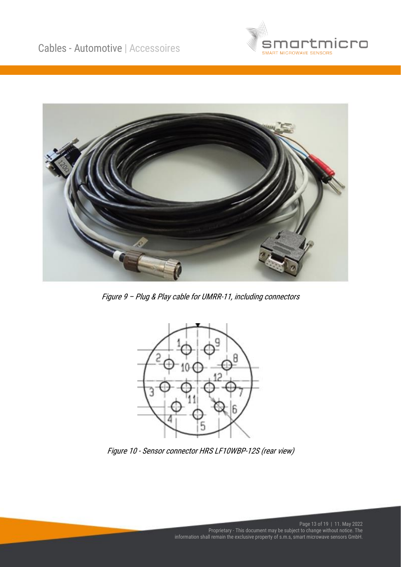



Figure 9 – Plug & Play cable for UMRR-11, including connectors



Figure 10 - Sensor connector HRS LF10WBP-12S (rear view)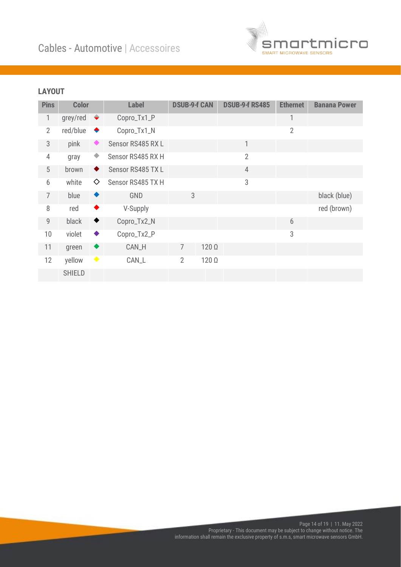

| <b>Pins</b>    | <b>Color</b>  |                 | <b>Label</b>      | <b>DSUB-9-f CAN</b> |              | <b>DSUB-9-f RS485</b> | <b>Ethernet</b> | <b>Banana Power</b> |
|----------------|---------------|-----------------|-------------------|---------------------|--------------|-----------------------|-----------------|---------------------|
| 1              | grey/red      | $\blacklozenge$ | Copro_Tx1_P       |                     |              |                       | 1               |                     |
| $\overline{2}$ | red/blue      | ٠               | Copro_Tx1_N       |                     |              |                       | $\overline{2}$  |                     |
| 3              | pink          |                 | Sensor RS485 RXL  |                     |              | 1                     |                 |                     |
| 4              | gray          | ٠               | Sensor RS485 RX H |                     |              | $\overline{2}$        |                 |                     |
| 5              | brown         | ◆               | Sensor RS485 TX L |                     |              | $\overline{4}$        |                 |                     |
| 6              | white         | ♦               | Sensor RS485 TX H |                     |              | 3                     |                 |                     |
| $\overline{7}$ | blue          | ◆               | GND               | 3                   |              |                       |                 | black (blue)        |
| 8              | red           | ٠               | V-Supply          |                     |              |                       |                 | red (brown)         |
| 9              | black         | ♦               | Copro_Tx2_N       |                     |              |                       | 6               |                     |
| 10             | violet        | ٠               | Copro_Tx2_P       |                     |              |                       | 3               |                     |
| 11             | green         | ◆               | CAN_H             | $\overline{7}$      | $120 \Omega$ |                       |                 |                     |
| 12             | yellow        | $\blacklozenge$ | CAN_L             | $\overline{2}$      | $120 \Omega$ |                       |                 |                     |
|                | <b>SHIELD</b> |                 |                   |                     |              |                       |                 |                     |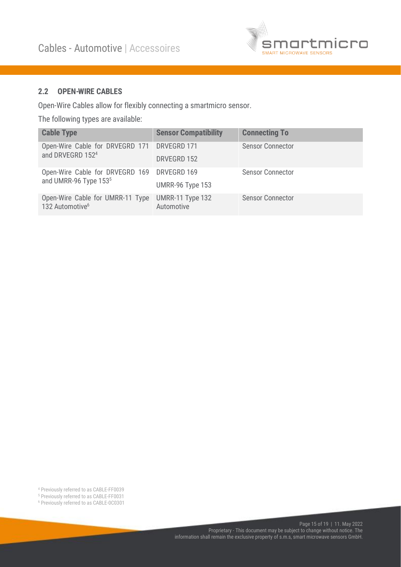

#### <span id="page-14-0"></span>2.2 OPEN-WIRE CABLES

Open-Wire Cables allow for flexibly connecting a smartmicro sensor.

The following types are available:

| <b>Cable Type</b>                                                           | <b>Sensor Compatibility</b>    | <b>Connecting To</b>    |
|-----------------------------------------------------------------------------|--------------------------------|-------------------------|
| Open-Wire Cable for DRVEGRD 171 DRVEGRD 171<br>and DRVEGRD 152 <sup>4</sup> |                                | <b>Sensor Connector</b> |
|                                                                             | DRVEGRD 152                    |                         |
| Open-Wire Cable for DRVEGRD 169 DRVEGRD 169                                 |                                | <b>Sensor Connector</b> |
| and UMRR-96 Type 153 <sup>5</sup>                                           | UMRR-96 Type 153               |                         |
| Open-Wire Cable for UMRR-11 Type<br>132 Automotive <sup>6</sup>             | UMRR-11 Type 132<br>Automotive | <b>Sensor Connector</b> |

<sup>4</sup> Previously referred to as CABLE-FF0039

<sup>5</sup> Previously referred to as CABLE-FF0031

<sup>6</sup> Previously referred to as CABLE-0C0301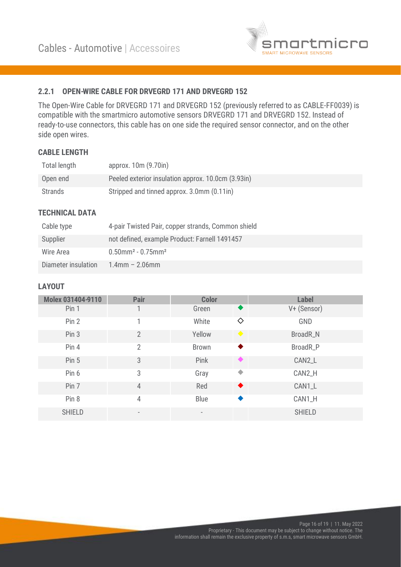

#### <span id="page-15-0"></span>2.2.1 OPEN-WIRE CABLE FOR DRVEGRD 171 AND DRVEGRD 152

The Open-Wire Cable for DRVEGRD 171 and DRVEGRD 152 (previously referred to as CABLE-FF0039) is compatible with the smartmicro automotive sensors DRVEGRD 171 and DRVEGRD 152. Instead of ready-to-use connectors, this cable has on one side the required sensor connector, and on the other side open wires.

#### CABLE LENGTH

| Total length | approx. 10m (9.70in)                               |
|--------------|----------------------------------------------------|
| Open end     | Peeled exterior insulation approx. 10.0cm (3.93in) |
| Strands      | Stripped and tinned approx. 3.0mm (0.11in)         |

#### TECHNICAL DATA

| Cable type          | 4-pair Twisted Pair, copper strands, Common shield |
|---------------------|----------------------------------------------------|
| Supplier            | not defined, example Product: Farnell 1491457      |
| Wire Area           | $0.50$ mm <sup>2</sup> - $0.75$ mm <sup>2</sup>    |
| Diameter insulation | $1.4$ mm – 2.06mm                                  |

| <b>Molex 031404-9110</b> | Pair                         | <b>Color</b>             |   | <b>Label</b>  |
|--------------------------|------------------------------|--------------------------|---|---------------|
| Pin 1                    |                              | Green                    | ◆ | V+ (Sensor)   |
| Pin 2                    |                              | White                    | ♦ | GND           |
| Pin 3                    | $\mathfrak{D}$               | Yellow                   |   | BroadR_N      |
| Pin <sub>4</sub>         | $\overline{2}$               | <b>Brown</b>             |   | BroadR_P      |
| Pin 5                    | 3                            | Pink                     |   | CAN2_L        |
| Pin 6                    | 3                            | Gray                     | ۰ | CAN2_H        |
| Pin 7                    | $\overline{4}$               | Red                      | ◆ | CAN1_L        |
| Pin 8                    | 4                            | Blue                     |   | CAN1_H        |
| <b>SHIELD</b>            | $\qquad \qquad \blacksquare$ | $\overline{\phantom{0}}$ |   | <b>SHIELD</b> |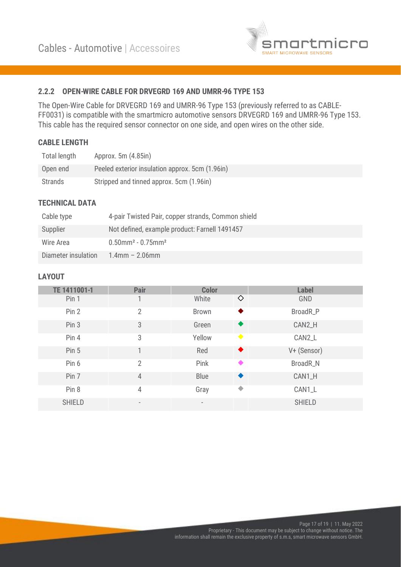

#### <span id="page-16-0"></span>2.2.2 OPEN-WIRE CABLE FOR DRVEGRD 169 AND UMRR-96 TYPE 153

The Open-Wire Cable for DRVEGRD 169 and UMRR-96 Type 153 (previously referred to as CABLE-FF0031) is compatible with the smartmicro automotive sensors DRVEGRD 169 and UMRR-96 Type 153. This cable has the required sensor connector on one side, and open wires on the other side.

#### CABLE LENGTH

| Total length | Approx. 5m (4.85in)                             |
|--------------|-------------------------------------------------|
| Open end     | Peeled exterior insulation approx. 5cm (1.96in) |
| Strands      | Stripped and tinned approx. 5cm (1.96in)        |

#### TECHNICAL DATA

| Cable type          | 4-pair Twisted Pair, copper strands, Common shield |
|---------------------|----------------------------------------------------|
| Supplier            | Not defined, example product: Farnell 1491457      |
| Wire Area           | $0.50$ mm <sup>2</sup> - $0.75$ mm <sup>2</sup>    |
| Diameter insulation | $1.4$ mm – 2.06mm                                  |

| TE 1411001-1     | <b>Pair</b>              | <b>Color</b> |   | <b>Label</b>  |
|------------------|--------------------------|--------------|---|---------------|
| Pin 1            |                          | White        | ♦ | GND           |
| Pin 2            | $\overline{2}$           | <b>Brown</b> |   | BroadR_P      |
| Pin 3            | 3                        | Green        |   | CAN2_H        |
| Pin 4            | 3                        | Yellow       |   | CAN2_L        |
| Pin <sub>5</sub> |                          | Red          | ♦ | V+ (Sensor)   |
| Pin 6            | $\overline{2}$           | Pink         |   | BroadR_N      |
| Pin 7            | $\overline{4}$           | <b>Blue</b>  | ♦ | CAN1_H        |
| Pin 8            | 4                        | Gray         | ♦ | CAN1_L        |
| <b>SHIELD</b>    | $\overline{\phantom{a}}$ |              |   | <b>SHIELD</b> |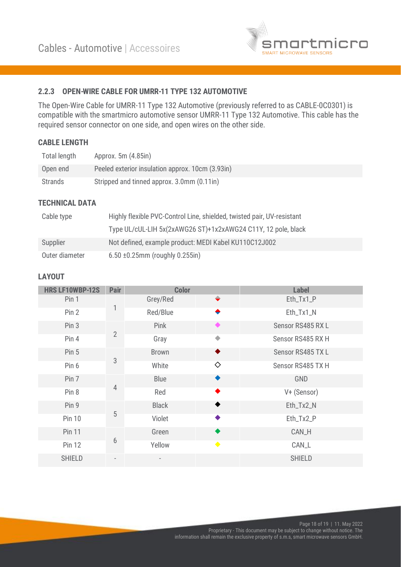

#### <span id="page-17-0"></span>2.2.3 OPEN-WIRE CABLE FOR UMRR-11 TYPE 132 AUTOMOTIVE

The Open-Wire Cable for UMRR-11 Type 132 Automotive (previously referred to as CABLE-0C0301) is compatible with the smartmicro automotive sensor UMRR-11 Type 132 Automotive. This cable has the required sensor connector on one side, and open wires on the other side.

#### CABLE LENGTH

| Total length | Approx. 5m (4.85in)                              |
|--------------|--------------------------------------------------|
| Open end     | Peeled exterior insulation approx. 10cm (3.93in) |
| Strands      | Stripped and tinned approx. 3.0mm (0.11in)       |

#### TECHNICAL DATA

| Cable type     | Highly flexible PVC-Control Line, shielded, twisted pair, UV-resistant |
|----------------|------------------------------------------------------------------------|
|                | Type UL/cUL-LIH 5x(2xAWG26 ST)+1x2xAWG24 C11Y, 12 pole, black          |
| Supplier       | Not defined, example product: MEDI Kabel KU110C12J002                  |
| Outer diameter | $6.50 \pm 0.25$ mm (roughly 0.255in)                                   |

| <b>HRS LF10WBP-12S</b> | <b>Pair</b>    | <b>Color</b> |                 | <b>Label</b>      |
|------------------------|----------------|--------------|-----------------|-------------------|
| Pin 1                  |                | Grey/Red     | ◆               | Eth_Tx1_P         |
| Pin 2                  | 1              | Red/Blue     | ◆               | Eth_Tx1_N         |
| Pin 3                  |                | Pink         |                 | Sensor RS485 RXL  |
| Pin 4                  | $\overline{2}$ | Gray         |                 | Sensor RS485 RX H |
| Pin <sub>5</sub>       |                | <b>Brown</b> | ◆               | Sensor RS485 TXL  |
| Pin 6                  | 3              | White        | ♦               | Sensor RS485 TX H |
| Pin 7                  |                | Blue         |                 | GND               |
| Pin 8                  | 4              | Red          |                 | V+ (Sensor)       |
| Pin 9                  |                | <b>Black</b> | ♦               | Eth_Tx2_N         |
| <b>Pin 10</b>          | 5              | Violet       |                 | Eth_Tx2_P         |
| <b>Pin 11</b>          |                | Green        |                 | CAN_H             |
| <b>Pin 12</b>          | $6\,$          | Yellow       | $\blacklozenge$ | CAN_L             |
| <b>SHIELD</b>          |                |              |                 | <b>SHIELD</b>     |